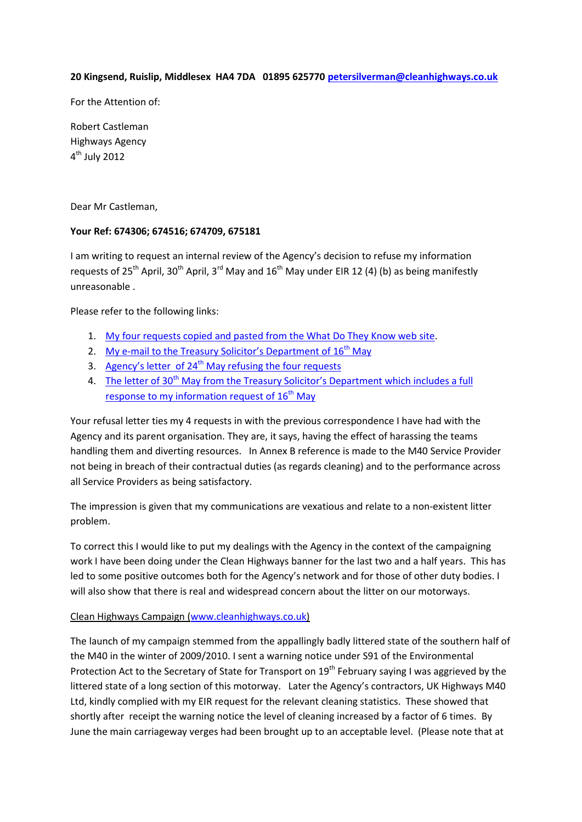#### **20 Kingsend, Ruislip, Middlesex HA4 7DA 01895 625770 [petersilverman@cleanhighways.co.uk](mailto:petersilverman@cleanhighways.co.uk)**

For the Attention of:

Robert Castleman Highways Agency 4<sup>th</sup> July 2012

Dear Mr Castleman,

### **Your Ref: 674306; 674516; 674709, 675181**

I am writing to request an internal review of the Agency's decision to refuse my information requests of 25<sup>th</sup> April, 30<sup>th</sup> April, 3<sup>rd</sup> May and 16<sup>th</sup> May under EIR 12 (4) (b) as being manifestly unreasonable .

Please refer to the following links:

- 1. My four requests copied [and pasted from the What Do They Know web site.](http://www.cleanhighways.co.uk/wp-content/uploads/2012/07/Requests-refused-in-2012.pdf)
- 2. [My e-mail to the Treasury Solicitor](http://www.cleanhighways.co.uk/highways-agency/highways-agencyiinformation-requests/e-mail-to-tsol-16th-may-2012)'s Department of  $16<sup>th</sup>$  May
- 3. Agency's letter of  $24<sup>th</sup>$  [May refusing the four requests](http://www.cleanhighways.co.uk/wp-content/uploads/2012/07/Refusal-letter-from-H-Agency-24th-May-2012.pdf)
- 4. The letter of 30<sup>th</sup> May from the Treasury Solicitor's Department which includes a full [response to my information request of](http://www.cleanhighways.co.uk/wp-content/uploads/2012/07/E16.pdf) 16<sup>th</sup> May

Your refusal letter ties my 4 requests in with the previous correspondence I have had with the Agency and its parent organisation. They are, it says, having the effect of harassing the teams handling them and diverting resources. In Annex B reference is made to the M40 Service Provider not being in breach of their contractual duties (as regards cleaning) and to the performance across all Service Providers as being satisfactory.

The impression is given that my communications are vexatious and relate to a non-existent litter problem.

To correct this I would like to put my dealings with the Agency in the context of the campaigning work I have been doing under the Clean Highways banner for the last two and a half years. This has led to some positive outcomes both for the Agency's network and for those of other duty bodies. I will also show that there is real and widespread concern about the litter on our motorways.

### Clean Highways Campaign [\(www.cleanhighways.co.uk\)](http://www.cleanhighways.co.uk/)

The launch of my campaign stemmed from the appallingly badly littered state of the southern half of the M40 in the winter of 2009/2010. I sent a warning notice under S91 of the Environmental Protection Act to the Secretary of State for Transport on 19<sup>th</sup> February saying I was aggrieved by the littered state of a long section of this motorway. Later the Agency's contractors, UK Highways M40 Ltd, kindly complied with my EIR request for the relevant cleaning statistics. These showed that shortly after receipt the warning notice the level of cleaning increased by a factor of 6 times. By June the main carriageway verges had been brought up to an acceptable level. (Please note that at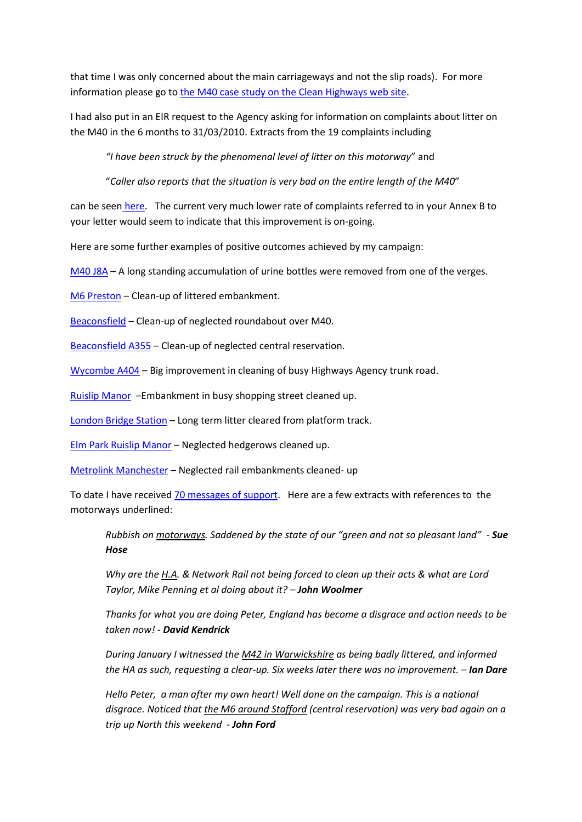that time I was only concerned about the main carriageways and not the slip roads). For more information please go to the [M40 case study on the Clean Highways web site.](http://www.cleanhighways.co.uk/m40)

I had also put in an EIR request to the Agency asking for information on complaints about litter on the M40 in the 6 months to 31/03/2010. Extracts from the 19 complaints including

*"I have been struck by the phenomenal level of litter on this motorway*" and

"*Caller also reports that the situation is very bad on the entire length of the M40*″

can be seen [here.](http://www.cleanhighways.co.uk/m40-j1-to-j4-high-wycombe/m40-complaints-made-by-public) The current very much lower rate of complaints referred to in your Annex B to your letter would seem to indicate that this improvement is on-going.

Here are some further examples of positive outcomes achieved by my campaign:

[M40 J8A](http://www.cleanhighways.co.uk/m40-j8a) – A long standing accumulation of urine bottles were removed from one of the verges.

[M6 Preston](http://www.cleanhighways.co.uk/m6-preston) – Clean-up of littered embankment.

[Beaconsfield](http://www.cleanhighways.co.uk/beaconsfield-roundabout-over-m40) – Clean-up of neglected roundabout over M40.

[Beaconsfield A355](http://www.cleanhighways.co.uk/a355) – Clean-up of neglected central reservation.

[Wycombe A404](http://www.cleanhighways.co.uk/wycombe-a404) – Big improvement in cleaning of busy Highways Agency trunk road.

[Ruislip Manor](http://www.cleanhighways.co.uk/transport-for-london) –Embankment in busy shopping street cleaned up.

[London Bridge Station](http://www.cleanhighways.co.uk/rail-track-london-bridge) – Long term litter cleared from platform track.

[Elm Park Ruislip Manor](http://www.cleanhighways.co.uk/elm-park-ruislip-manor) – Neglected hedgerows cleaned up.

[Metrolink Manchester](http://www.cleanhighways.co.uk/metrolink-manchester) – Neglected rail embankments cleaned- up

To date I have received [70 messages of support.](http://www.cleanhighways.co.uk/your-comments) Here are a few extracts with references to the motorways underlined:

*Rubbish on motorways. Saddened by the state of our "green and not so pleasant land" - Sue Hose*

*Why are the H.A. & Network Rail not being forced to clean up their acts & what are Lord Taylor, Mike Penning et al doing about it? – John Woolmer*

*Thanks for what you are doing Peter, England has become a disgrace and action needs to be taken now! - David Kendrick*

*During January I witnessed the M42 in Warwickshire as being badly littered, and informed the HA as such, requesting a clear-up. Six weeks later there was no improvement. – Ian Dare*

*Hello Peter, a man after my own heart! Well done on the campaign. This is a national disgrace. Noticed that the M6 around Stafford (central reservation) was very bad again on a trip up North this weekend - John Ford*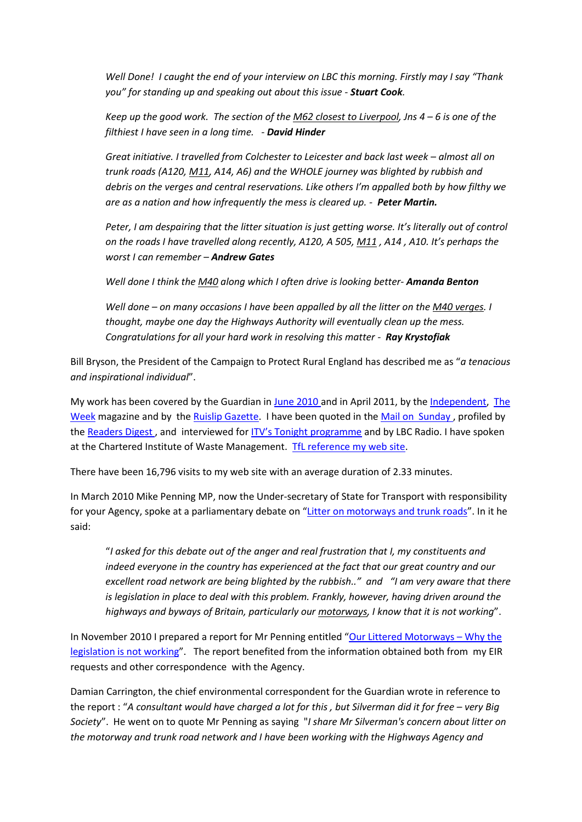*Well Done! I caught the end of your interview on LBC this morning. Firstly may I say "Thank you" for standing up and speaking out about this issue - Stuart Cook.*

*Keep up the good work. The section of the M62 closest to Liverpool, Jns 4 – 6 is one of the filthiest I have seen in a long time. - David Hinder*

*Great initiative. I travelled from Colchester to Leicester and back last week – almost all on trunk roads (A120, M11, A14, A6) and the WHOLE journey was blighted by rubbish and debris on the verges and central reservations. Like others I'm appalled both by how filthy we are as a nation and how infrequently the mess is cleared up. - Peter Martin.*

*Peter, I am despairing that the litter situation is just getting worse. It's literally out of control on the roads I have travelled along recently, A120, A 505, M11 , A14 , A10. It's perhaps the worst I can remember – Andrew Gates*

*Well done I think the M40 along which I often drive is looking better- Amanda Benton*

*Well done – on many occasions I have been appalled by all the litter on the M40 verges. I thought, maybe one day the Highways Authority will eventually clean up the mess. Congratulations for all your hard work in resolving this matter - Ray Krystofiak*

Bill Bryson, the President of the Campaign to Protect Rural England has described me as "*a tenacious and inspirational individual*".

My work has been covered by the Guardian i[n June 2010 a](http://www.guardian.co.uk/world/2010/jun/20/motorway-litter)nd in April 2011, by the [Independent,](http://www.independent.co.uk/opinion/columnists/thomas-sutcliffe/tom-sutcliffe-the-littering-that-junk-mail-forces-on-us-2006898.html) [The](http://www.cleanhighways.co.uk/m40-j1-to-j4-high-wycombe/m40-the-week-article)  [Week](http://www.cleanhighways.co.uk/m40-j1-to-j4-high-wycombe/m40-the-week-article) magazine and by the [Ruislip Gazette.](http://www.cleanhighways.co.uk/wp-content/uploads/2011/03/M40-J1-Ruislip-Gazette.pdf) I have been quoted in the Mail on Sunday, profiled by the Readers Digest, and interviewed for **[ITV's Tonight programme](http://www.cleanhighways.co.uk/press-media/itvs-tonight-programme-interview-by-jonathan-maitland)** and by LBC Radio. I have spoken at the Chartered Institute of Waste Management. [TfL reference my web site.](http://www.cleanhighways.co.uk/transport-for-london/tfl-reference-clean-highways)

There have been 16,796 visits to my web site with an average duration of 2.33 minutes.

In March 2010 Mike Penning MP, now the Under-secretary of State for Transport with responsibility for your Agency, spoke at a parliamentary debate on "[Litter on motorways and trunk roads](http://www.cleanhighways.co.uk/mike-penning/mike-penning-quotations-from-parliamentary-debate-30th-march-2010)". In it he said:

"*I asked for this debate out of the anger and real frustration that I, my constituents and indeed everyone in the country has experienced at the fact that our great country and our excellent road network are being blighted by the rubbish.." and "I am very aware that there is legislation in place to deal with this problem. Frankly, however, having driven around the highways and byways of Britain, particularly our motorways, I know that it is not working*".

In November 2010 I prepared a report for Mr Penning entitled "[Our Littered Motorways](http://www.cleanhighways.co.uk/wp-content/uploads/2010/11/OurLitteredMotorways1.pdf) – Why the [legislation is not working](http://www.cleanhighways.co.uk/wp-content/uploads/2010/11/OurLitteredMotorways1.pdf)". The report benefited from the information obtained both from my EIR requests and other correspondence with the Agency.

Damian Carrington, the chief environmental correspondent for the Guardian wrote in reference to the report : "A consultant would have charged a lot for this, but Silverman did it for free – very Big *Society*". He went on to quote Mr Penning as saying "*I share Mr Silverman's concern about litter on the motorway and trunk road network and I have been working with the Highways Agency and*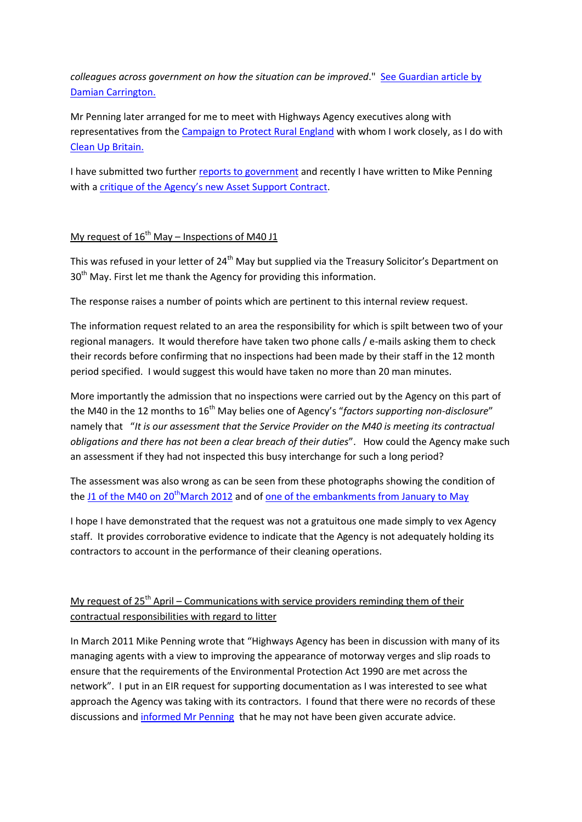*colleagues across government on how the situation can be improved*." [See Guardian article by](http://www.guardian.co.uk/environment/damian-carrington-blog/2011/apr/15/litter-bug-motorway-man)  [Damian Carrington.](http://www.guardian.co.uk/environment/damian-carrington-blog/2011/apr/15/litter-bug-motorway-man)

Mr Penning later arranged for me to meet with Highways Agency executives along with representatives from the [Campaign to Protect Rural England](http://www.cpre.org.uk/) with whom I work closely, as I do with [Clean Up Britain.](http://www.cleanupbritain.org/)

I have submitted two furthe[r reports to government](http://www.cleanhighways.co.uk/reports-to-government) and recently I have written to Mike Penning with a [critique of the Agency's new Asset Support Contract](http://www.cleanhighways.co.uk/mike-penning/highways-agencys-asset-support-contract-e-mail-to-mike-penning).

### My request of  $16^{th}$  May – Inspections of M40 J1

This was refused in your letter of 24<sup>th</sup> May but supplied via the Treasury Solicitor's Department on 30<sup>th</sup> May. First let me thank the Agency for providing this information.

The response raises a number of points which are pertinent to this internal review request.

The information request related to an area the responsibility for which is spilt between two of your regional managers. It would therefore have taken two phone calls / e-mails asking them to check their records before confirming that no inspections had been made by their staff in the 12 month period specified. I would suggest this would have taken no more than 20 man minutes.

More importantly the admission that no inspections were carried out by the Agency on this part of the M40 in the 12 months to 16<sup>th</sup> May belies one of Agency's "factors supporting non-disclosure" namely that "*It is our assessment that the Service Provider on the M40 is meeting its contractual obligations and there has not been a clear breach of their duties*". How could the Agency make such an assessment if they had not inspected this busy interchange for such a long period?

The assessment was also wrong as can be seen from these photographs showing the condition of the J1 of the M40 on  $20<sup>th</sup>$  March 2012 and o[f one of the embankments from January to May](http://www.cleanhighways.co.uk/wp-content/uploads/2012/06/E9-Area-D-Low-Res.pdf)

I hope I have demonstrated that the request was not a gratuitous one made simply to vex Agency staff. It provides corroborative evidence to indicate that the Agency is not adequately holding its contractors to account in the performance of their cleaning operations.

### My request of  $25<sup>th</sup>$  April – Communications with service providers reminding them of their contractual responsibilities with regard to litter

In March 2011 Mike Penning wrote that "Highways Agency has been in discussion with many of its managing agents with a view to improving the appearance of motorway verges and slip roads to ensure that the requirements of the Environmental Protection Act 1990 are met across the network". I put in an EIR request for supporting documentation as I was interested to see what approach the Agency was taking with its contractors. I found that there were no records of these discussions and [informed Mr Penning](http://www.cleanhighways.co.uk/highways-agency/e-mail-to-mike-penning-17th-june) that he may not have been given accurate advice.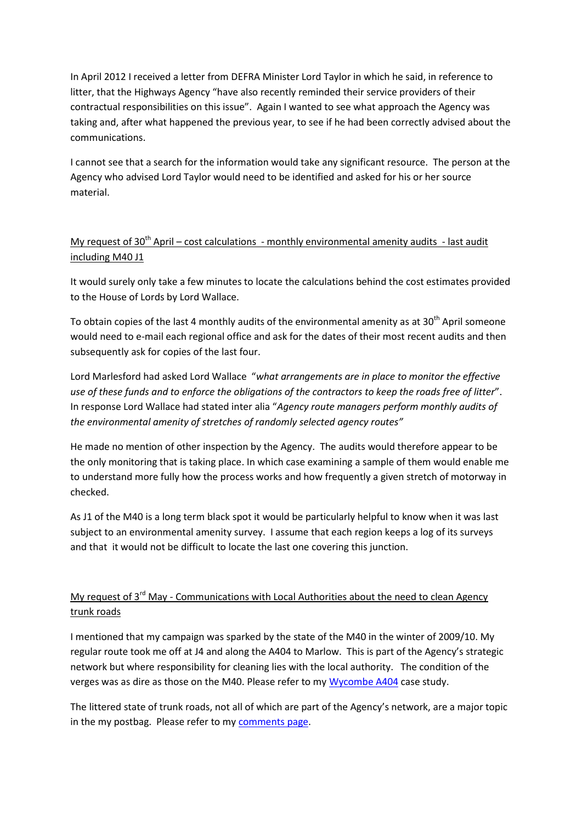In April 2012 I received a letter from DEFRA Minister Lord Taylor in which he said, in reference to litter, that the Highways Agency "have also recently reminded their service providers of their contractual responsibilities on this issue". Again I wanted to see what approach the Agency was taking and, after what happened the previous year, to see if he had been correctly advised about the communications.

I cannot see that a search for the information would take any significant resource. The person at the Agency who advised Lord Taylor would need to be identified and asked for his or her source material.

## My request of  $30<sup>th</sup>$  April – cost calculations - monthly environmental amenity audits - last audit including M40 J1

It would surely only take a few minutes to locate the calculations behind the cost estimates provided to the House of Lords by Lord Wallace.

To obtain copies of the last 4 monthly audits of the environmental amenity as at 30<sup>th</sup> April someone would need to e-mail each regional office and ask for the dates of their most recent audits and then subsequently ask for copies of the last four.

Lord Marlesford had asked Lord Wallace "*what arrangements are in place to monitor the effective use of these funds and to enforce the obligations of the contractors to keep the roads free of litter*". In response Lord Wallace had stated inter alia "*Agency route managers perform monthly audits of the environmental amenity of stretches of randomly selected agency routes"*

He made no mention of other inspection by the Agency. The audits would therefore appear to be the only monitoring that is taking place. In which case examining a sample of them would enable me to understand more fully how the process works and how frequently a given stretch of motorway in checked.

As J1 of the M40 is a long term black spot it would be particularly helpful to know when it was last subject to an environmental amenity survey. I assume that each region keeps a log of its surveys and that it would not be difficult to locate the last one covering this junction.

# My request of 3<sup>rd</sup> May - Communications with Local Authorities about the need to clean Agency trunk roads

I mentioned that my campaign was sparked by the state of the M40 in the winter of 2009/10. My regular route took me off at J4 and along the A404 to Marlow. This is part of the Agency's strategic network but where responsibility for cleaning lies with the local authority. The condition of the verges was as dire as those on the M40. Please refer to m[y Wycombe A404](http://www.cleanhighways.co.uk/wycombe-a404) case study.

The littered state of trunk roads, not all of which are part of the Agency's network, are a major topic in the my postbag. Please refer to my [comments page.](http://www.cleanhighways.co.uk/your-comments)